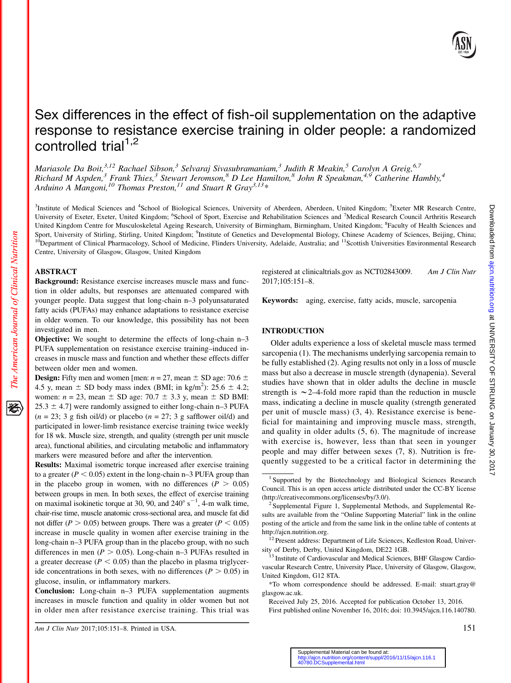

# Sex differences in the effect of fish-oil supplementation on the adaptive response to resistance exercise training in older people: a randomized controlled trial $1,2$

Mariasole Da Boit,  $3,12$  Rachael Sibson,  $3$  Selvaraj Sivasubramaniam,  $3$  Judith R Meakin,  $5$  Carolyn A Greig,  $6,7$ Richard M Aspden,<sup>3</sup> Frank Thies,<sup>3</sup> Stewart Jeromson,<sup>8</sup> D Lee Hamilton,<sup>8</sup> John R Speakman,<sup>4,9</sup> Catherine Hambly,<sup>4</sup> Arduino A Mangoni,<sup>10</sup> Thomas Preston,<sup>11</sup> and Stuart R Gray<sup>3,13</sup>\*

<sup>3</sup>Institute of Medical Sciences and <sup>4</sup>School of Biological Sciences, University of Aberdeen, Aberdeen, United Kingdom; <sup>5</sup>Exeter MR Research Centre, University of Exeter, Exeter, United Kingdom; <sup>6</sup>School of Sport, Exercise and Rehabilitation Sciences and <sup>7</sup>Medical Research Council Arthritis Research United Kingdom Centre for Musculoskeletal Ageing Research, University of Birmingham, Birmingham, United Kingdom; <sup>8</sup>Faculty of Health Sciences and Sport, University of Stirling, Stirling, United Kingdom; <sup>9</sup>Institute of Genetics and Developmental Biology, Chinese Academy of Sciences, Beijing, China; <sup>10</sup>Department of Clinical Pharmacology, School of Medicine, Flinders University, Adelaide, Australia; and <sup>11</sup>Scottish Universities Environmental Research Centre, University of Glasgow, Glasgow, United Kingdom

## ABSTRACT

The American Journal of Clinical Nutrition

Background: Resistance exercise increases muscle mass and function in older adults, but responses are attenuated compared with younger people. Data suggest that long-chain n–3 polyunsaturated fatty acids (PUFAs) may enhance adaptations to resistance exercise in older women. To our knowledge, this possibility has not been investigated in men.

Objective: We sought to determine the effects of long-chain n–3 PUFA supplementation on resistance exercise training–induced increases in muscle mass and function and whether these effects differ between older men and women.

**Design:** Fifty men and women [men:  $n = 27$ , mean  $\pm$  SD age: 70.6  $\pm$ 4.5 y, mean  $\pm$  SD body mass index (BMI; in kg/m<sup>2</sup>): 25.6  $\pm$  4.2; women:  $n = 23$ , mean  $\pm$  SD age: 70.7  $\pm$  3.3 y, mean  $\pm$  SD BMI:  $25.3 \pm 4.7$ ] were randomly assigned to either long-chain n–3 PUFA  $(n = 23; 3 \text{ g fish oil/d})$  or placebo  $(n = 27; 3 \text{ g safflower oil/d})$  and participated in lower-limb resistance exercise training twice weekly for 18 wk. Muscle size, strength, and quality (strength per unit muscle area), functional abilities, and circulating metabolic and inflammatory markers were measured before and after the intervention.

Results: Maximal isometric torque increased after exercise training to a greater ( $P < 0.05$ ) extent in the long-chain n–3 PUFA group than in the placebo group in women, with no differences  $(P > 0.05)$ between groups in men. In both sexes, the effect of exercise training on maximal isokinetic torque at 30, 90, and  $240^{\circ}$  s<sup>-1</sup>, 4-m walk time, chair-rise time, muscle anatomic cross-sectional area, and muscle fat did not differ ( $P > 0.05$ ) between groups. There was a greater ( $P < 0.05$ ) increase in muscle quality in women after exercise training in the long-chain n–3 PUFA group than in the placebo group, with no such differences in men ( $P > 0.05$ ). Long-chain n–3 PUFAs resulted in a greater decrease ( $P < 0.05$ ) than the placebo in plasma triglyceride concentrations in both sexes, with no differences ( $P > 0.05$ ) in glucose, insulin, or inflammatory markers.

Conclusion: Long-chain n–3 PUFA supplementation augments increases in muscle function and quality in older women but not in older men after resistance exercise training. This trial was registered at clinicaltrials.gov as NCT02843009. Am J Clin Nutr 2017;105:151–8.

Keywords: aging, exercise, fatty acids, muscle, sarcopenia

## INTRODUCTION

Older adults experience a loss of skeletal muscle mass termed sarcopenia (1). The mechanisms underlying sarcopenia remain to be fully established (2). Aging results not only in a loss of muscle mass but also a decrease in muscle strength (dynapenia). Several studies have shown that in older adults the decline in muscle strength is  $\sim$  2–4-fold more rapid than the reduction in muscle mass, indicating a decline in muscle quality (strength generated per unit of muscle mass) (3, 4). Resistance exercise is beneficial for maintaining and improving muscle mass, strength, and quality in older adults (5, 6). The magnitude of increase with exercise is, however, less than that seen in younger people and may differ between sexes (7, 8). Nutrition is frequently suggested to be a critical factor in determining the

First published online November 16, 2016; doi: 10.3945/ajcn.116.140780.

<sup>&</sup>lt;sup>1</sup> Supported by the Biotechnology and Biological Sciences Research Council. This is an open access article distributed under the CC-BY license (<http://creativecommons.org/licenses/by/3.0/>). <sup>2</sup> Supplemental Figure 1, Supplemental Methods, and Supplemental Re-

sults are available from the "Online Supporting Material" link in the online posting of the article and from the same link in the online table of contents at http://ajcn.nutrition.org.

<sup>&</sup>lt;sup>12</sup> Present address: Department of Life Sciences, Kedleston Road, University of Derby, Derby, United Kingdom, DE22 1GB.<br><sup>13</sup> Institute of Cardiovascular and Medical Sciences, BHF Glasgow Cardio-

vascular Research Centre, University Place, University of Glasgow, Glasgow, United Kingdom, G12 8TA.

<sup>\*</sup>To whom correspondence should be addressed. E-mail: stuart.gray@ glasgow.ac.uk.

Received July 25, 2016. Accepted for publication October 13, 2016.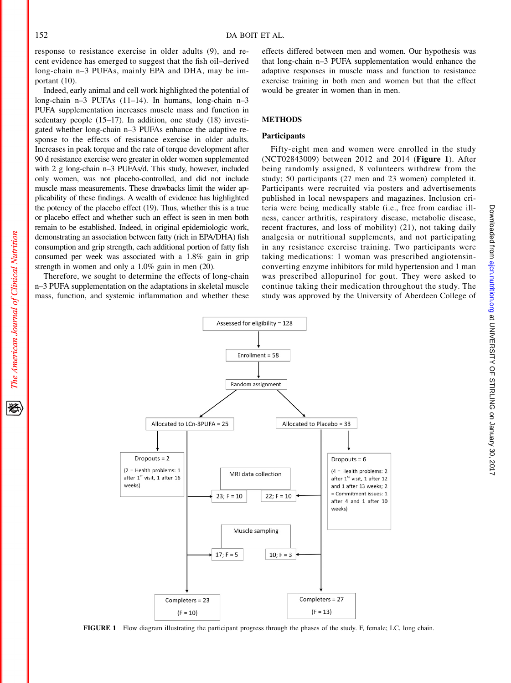response to resistance exercise in older adults (9), and recent evidence has emerged to suggest that the fish oil–derived long-chain n–3 PUFAs, mainly EPA and DHA, may be important (10).

Indeed, early animal and cell work highlighted the potential of long-chain n–3 PUFAs (11–14). In humans, long-chain n–3 PUFA supplementation increases muscle mass and function in sedentary people (15–17). In addition, one study (18) investigated whether long-chain n–3 PUFAs enhance the adaptive response to the effects of resistance exercise in older adults. Increases in peak torque and the rate of torque development after 90 d resistance exercise were greater in older women supplemented with 2 g long-chain n–3 PUFAs/d. This study, however, included only women, was not placebo-controlled, and did not include muscle mass measurements. These drawbacks limit the wider applicability of these findings. A wealth of evidence has highlighted the potency of the placebo effect (19). Thus, whether this is a true or placebo effect and whether such an effect is seen in men both remain to be established. Indeed, in original epidemiologic work, demonstrating an association between fatty (rich in EPA/DHA) fish consumption and grip strength, each additional portion of fatty fish consumed per week was associated with a 1.8% gain in grip strength in women and only a 1.0% gain in men (20).

Therefore, we sought to determine the effects of long-chain n–3 PUFA supplementation on the adaptations in skeletal muscle mass, function, and systemic inflammation and whether these effects differed between men and women. Our hypothesis was that long-chain n–3 PUFA supplementation would enhance the adaptive responses in muscle mass and function to resistance exercise training in both men and women but that the effect would be greater in women than in men.

# **METHODS**

### Participants

Fifty-eight men and women were enrolled in the study (NCT02843009) between 2012 and 2014 (Figure 1). After being randomly assigned, 8 volunteers withdrew from the study; 50 participants (27 men and 23 women) completed it. Participants were recruited via posters and advertisements published in local newspapers and magazines. Inclusion criteria were being medically stable (i.e., free from cardiac illness, cancer arthritis, respiratory disease, metabolic disease, recent fractures, and loss of mobility) (21), not taking daily analgesia or nutritional supplements, and not participating in any resistance exercise training. Two participants were taking medications: 1 woman was prescribed angiotensinconverting enzyme inhibitors for mild hypertension and 1 man was prescribed allopurinol for gout. They were asked to continue taking their medication throughout the study. The study was approved by the University of Aberdeen College of



FIGURE 1 Flow diagram illustrating the participant progress through the phases of the study. F, female; LC, long chain.

The American Journal of Clinical Nutrition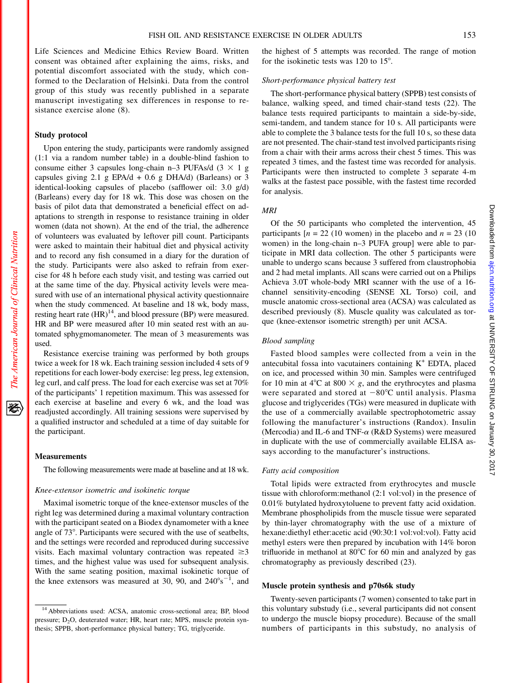Life Sciences and Medicine Ethics Review Board. Written consent was obtained after explaining the aims, risks, and potential discomfort associated with the study, which conformed to the Declaration of Helsinki. Data from the control group of this study was recently published in a separate manuscript investigating sex differences in response to resistance exercise alone (8).

## Study protocol

Upon entering the study, participants were randomly assigned (1:1 via a random number table) in a double-blind fashion to consume either 3 capsules long-chain n–3 PUFAs/d  $(3 \times 1$  g capsules giving 2.1 g EPA/d + 0.6 g DHA/d) (Barleans) or 3 identical-looking capsules of placebo (safflower oil: 3.0 g/d) (Barleans) every day for 18 wk. This dose was chosen on the basis of pilot data that demonstrated a beneficial effect on adaptations to strength in response to resistance training in older women (data not shown). At the end of the trial, the adherence of volunteers was evaluated by leftover pill count. Participants were asked to maintain their habitual diet and physical activity and to record any fish consumed in a diary for the duration of the study. Participants were also asked to refrain from exercise for 48 h before each study visit, and testing was carried out at the same time of the day. Physical activity levels were measured with use of an international physical activity questionnaire when the study commenced. At baseline and 18 wk, body mass, resting heart rate  $(HR)^{14}$ , and blood pressure (BP) were measured. HR and BP were measured after 10 min seated rest with an automated sphygmomanometer. The mean of 3 measurements was used.

Resistance exercise training was performed by both groups twice a week for 18 wk. Each training session included 4 sets of 9 repetitions for each lower-body exercise: leg press, leg extension, leg curl, and calf press. The load for each exercise was set at 70% of the participants' 1 repetition maximum. This was assessed for each exercise at baseline and every 6 wk, and the load was readjusted accordingly. All training sessions were supervised by a qualified instructor and scheduled at a time of day suitable for the participant.

### **Measurements**

The following measurements were made at baseline and at 18 wk.

### Knee-extensor isometric and isokinetic torque

Maximal isometric torque of the knee-extensor muscles of the right leg was determined during a maximal voluntary contraction with the participant seated on a Biodex dynamometer with a knee angle of 73<sup>°</sup>. Participants were secured with the use of seatbelts, and the settings were recorded and reproduced during successive visits. Each maximal voluntary contraction was repeated  $\geq 3$ times, and the highest value was used for subsequent analysis. With the same seating position, maximal isokinetic torque of the knee extensors was measured at 30, 90, and  $240^{\circ} s^{-1}$ , and

the highest of 5 attempts was recorded. The range of motion for the isokinetic tests was  $120$  to  $15^\circ$ .

### Short-performance physical battery test

The short-performance physical battery (SPPB) test consists of balance, walking speed, and timed chair-stand tests (22). The balance tests required participants to maintain a side-by-side, semi-tandem, and tandem stance for 10 s. All participants were able to complete the 3 balance tests for the full 10 s, so these data are not presented. The chair-stand test involved participants rising from a chair with their arms across their chest 5 times. This was repeated 3 times, and the fastest time was recorded for analysis. Participants were then instructed to complete 3 separate 4-m walks at the fastest pace possible, with the fastest time recorded for analysis.

## MRI

Of the 50 participants who completed the intervention, 45 participants  $[n = 22 (10)$  women) in the placebo and  $n = 23 (10)$ women) in the long-chain n–3 PUFA group] were able to participate in MRI data collection. The other 5 participants were unable to undergo scans because 3 suffered from claustrophobia and 2 had metal implants. All scans were carried out on a Philips Achieva 3.0T whole-body MRI scanner with the use of a 16 channel sensitivity-encoding (SENSE XL Torso) coil, and muscle anatomic cross-sectional area (ACSA) was calculated as described previously (8). Muscle quality was calculated as torque (knee-extensor isometric strength) per unit ACSA.

## Blood sampling

Fasted blood samples were collected from a vein in the antecubital fossa into vacutainers containing  $K^+$  EDTA, placed on ice, and processed within 30 min. Samples were centrifuged for 10 min at 4 $\degree$ C at 800  $\times$  g, and the erythrocytes and plasma were separated and stored at  $-80^{\circ}$ C until analysis. Plasma glucose and triglycerides (TGs) were measured in duplicate with the use of a commercially available spectrophotometric assay following the manufacturer's instructions (Randox). Insulin (Mercodia) and IL-6 and TNF- $\alpha$  (R&D Systems) were measured in duplicate with the use of commercially available ELISA assays according to the manufacturer's instructions.

## Fatty acid composition

Total lipids were extracted from erythrocytes and muscle tissue with chloroform:methanol (2:1 vol:vol) in the presence of 0.01% butylated hydroxytoluene to prevent fatty acid oxidation. Membrane phospholipids from the muscle tissue were separated by thin-layer chromatography with the use of a mixture of hexane:diethyl ether:acetic acid (90:30:1 vol:vol:vol). Fatty acid methyl esters were then prepared by incubation with 14% boron trifluoride in methanol at  $80^{\circ}$ C for 60 min and analyzed by gas chromatography as previously described (23).

#### Muscle protein synthesis and p70s6k study

Twenty-seven participants (7 women) consented to take part in this voluntary substudy (i.e., several participants did not consent to undergo the muscle biopsy procedure). Because of the small numbers of participants in this substudy, no analysis of

犵

<sup>&</sup>lt;sup>14</sup> Abbreviations used: ACSA, anatomic cross-sectional area; BP, blood pressure; D<sub>2</sub>O, deuterated water; HR, heart rate; MPS, muscle protein synthesis; SPPB, short-performance physical battery; TG, triglyceride.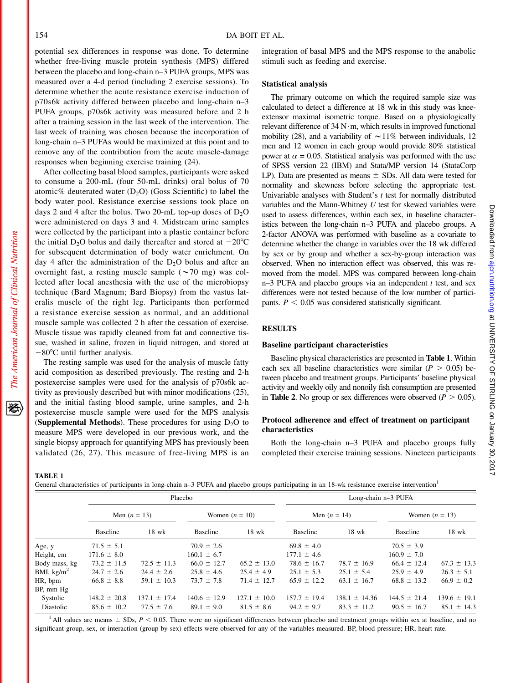potential sex differences in response was done. To determine whether free-living muscle protein synthesis (MPS) differed between the placebo and long-chain n–3 PUFA groups, MPS was measured over a 4-d period (including 2 exercise sessions). To determine whether the acute resistance exercise induction of p70s6k activity differed between placebo and long-chain n–3 PUFA groups, p70s6k activity was measured before and 2 h after a training session in the last week of the intervention. The last week of training was chosen because the incorporation of long-chain n–3 PUFAs would be maximized at this point and to remove any of the contribution from the acute muscle-damage responses when beginning exercise training (24).

After collecting basal blood samples, participants were asked to consume a 200-mL (four 50-mL drinks) oral bolus of 70 atomic% deuterated water  $(D_2O)$  (Goss Scientific) to label the body water pool. Resistance exercise sessions took place on days 2 and 4 after the bolus. Two 20-mL top-up doses of  $D_2O$ were administered on days 3 and 4. Midstream urine samples were collected by the participant into a plastic container before the initial D<sub>2</sub>O bolus and daily thereafter and stored at  $-20^{\circ}$ C for subsequent determination of body water enrichment. On day 4 after the administration of the  $D_2O$  bolus and after an overnight fast, a resting muscle sample ( $\sim$ 70 mg) was collected after local anesthesia with the use of the microbiopsy technique (Bard Magnum; Bard Biopsy) from the vastus lateralis muscle of the right leg. Participants then performed a resistance exercise session as normal, and an additional muscle sample was collected 2 h after the cessation of exercise. Muscle tissue was rapidly cleaned from fat and connective tissue, washed in saline, frozen in liquid nitrogen, and stored at  $-80^{\circ}$ C until further analysis.

The resting sample was used for the analysis of muscle fatty acid composition as described previously. The resting and 2-h postexercise samples were used for the analysis of p70s6k activity as previously described but with minor modifications (25), and the initial fasting blood sample, urine samples, and 2-h postexercise muscle sample were used for the MPS analysis (Supplemental Methods). These procedures for using  $D_2O$  to measure MPS were developed in our previous work, and the single biopsy approach for quantifying MPS has previously been validated (26, 27). This measure of free-living MPS is an

integration of basal MPS and the MPS response to the anabolic stimuli such as feeding and exercise.

## Statistical analysis

The primary outcome on which the required sample size was calculated to detect a difference at 18 wk in this study was kneeextensor maximal isometric torque. Based on a physiologically relevant difference of  $34 \text{ N} \cdot \text{m}$ , which results in improved functional mobility (28), and a variability of  $\sim$  11% between individuals, 12 men and 12 women in each group would provide 80% statistical power at  $\alpha = 0.05$ . Statistical analysis was performed with the use of SPSS version 22 (IBM) and Stata/MP version 14 (StataCorp LP). Data are presented as means  $\pm$  SDs. All data were tested for normality and skewness before selecting the appropriate test. Univariable analyses with Student's  $t$  test for normally distributed variables and the Mann-Whitney  $U$  test for skewed variables were used to assess differences, within each sex, in baseline characteristics between the long-chain n–3 PUFA and placebo groups. A 2-factor ANOVA was performed with baseline as a covariate to determine whether the change in variables over the 18 wk differed by sex or by group and whether a sex-by-group interaction was observed. When no interaction effect was observed, this was removed from the model. MPS was compared between long-chain n–3 PUFA and placebo groups via an independent  $t$  test, and sex differences were not tested because of the low number of participants.  $P < 0.05$  was considered statistically significant.

## **RESULTS**

#### Baseline participant characteristics

Baseline physical characteristics are presented in Table 1. Within each sex all baseline characteristics were similar ( $P > 0.05$ ) between placebo and treatment groups. Participants' baseline physical activity and weekly oily and nonoily fish consumption are presented in **Table 2**. No group or sex differences were observed ( $P > 0.05$ ).

## Protocol adherence and effect of treatment on participant characteristics

Both the long-chain n–3 PUFA and placebo groups fully completed their exercise training sessions. Nineteen participants

TABLE 1

General characteristics of participants in long-chain n–3 PUFA and placebo groups participating in an 18-wk resistance exercise intervention<sup>1</sup>

|                      |                  |                  | Placebo          |                  | Long-chain n-3 PUFA |                   |                  |                  |  |
|----------------------|------------------|------------------|------------------|------------------|---------------------|-------------------|------------------|------------------|--|
|                      |                  | Men $(n = 13)$   | Women $(n = 10)$ |                  | Men $(n = 14)$      |                   | Women $(n = 13)$ |                  |  |
|                      | Baseline         | $18$ wk          | Baseline         | $18$ wk          | <b>Baseline</b>     | $18$ wk           | <b>Baseline</b>  | $18$ wk          |  |
| Age, y               | $71.5 \pm 5.1$   |                  | $70.9 \pm 2.6$   |                  | $69.8 \pm 4.0$      |                   | $70.5 \pm 3.9$   |                  |  |
| Height, cm           | $171.6 \pm 8.0$  |                  | $160.1 \pm 6.7$  |                  | $177.1 \pm 4.6$     |                   | $160.9 \pm 7.0$  |                  |  |
| Body mass, kg        | $73.2 \pm 11.5$  | $72.5 \pm 11.3$  | $66.0 \pm 12.7$  | $65.2 \pm 13.0$  | $78.6 \pm 16.7$     | $78.7 \pm 16.9$   | $66.4 \pm 12.4$  | $67.3 \pm 13.3$  |  |
| BMI, $\text{kg/m}^2$ | $24.7 \pm 2.6$   | $24.4 \pm 2.6$   | $25.8 \pm 4.6$   | $25.4 \pm 4.9$   | $25.1 \pm 5.3$      | $25.1 \pm 5.4$    | $25.9 \pm 4.9$   | $26.3 \pm 5.1$   |  |
| HR, bpm              | $66.8 \pm 8.8$   | $59.1 \pm 10.3$  | $73.7 \pm 7.8$   | $71.4 \pm 12.7$  | $65.9 \pm 12.2$     | $63.1 \pm 16.7$   | $68.8 \pm 13.2$  | $66.9 \pm 0.2$   |  |
| BP, mm Hg            |                  |                  |                  |                  |                     |                   |                  |                  |  |
| Systolic             | $148.2 \pm 20.8$ | $137.1 \pm 17.4$ | $140.6 \pm 12.9$ | $127.1 \pm 10.0$ | $157.7 \pm 19.4$    | $138.1 \pm 14.36$ | $144.5 \pm 21.4$ | $139.6 \pm 19.1$ |  |
| Diastolic            | $85.6 \pm 10.2$  | $77.5 \pm 7.6$   | $89.1 \pm 9.0$   | $81.5 \pm 8.6$   | $94.2 \pm 9.7$      | $83.3 \pm 11.2$   | $90.5 \pm 16.7$  | $85.1 \pm 14.3$  |  |

<sup>1</sup> All values are means  $\pm$  SDs,  $P < 0.05$ . There were no significant differences between placebo and treatment groups within sex at baseline, and no significant group, sex, or interaction (group by sex) effects were observed for any of the variables measured. BP, blood pressure; HR, heart rate.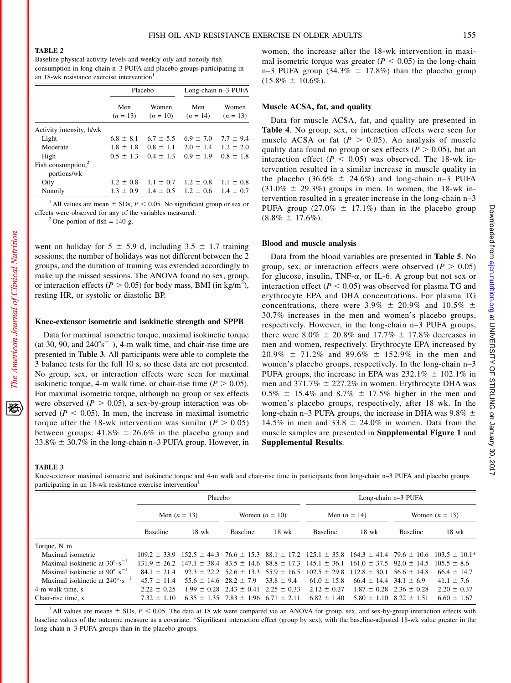#### TABLE 2

Baseline physical activity levels and weekly oily and nonoily fish consumption in long-chain n–3 PUFA and placebo groups participating in an 18-wk resistance exercise intervention<sup>1</sup>

|                                      |                   | Placebo                     | Long-chain n-3 PUFA                                     |                     |  |
|--------------------------------------|-------------------|-----------------------------|---------------------------------------------------------|---------------------|--|
|                                      | Men<br>$(n = 13)$ | Women<br>$(n = 10)$         | Men<br>$(n = 14)$                                       | Women<br>$(n = 13)$ |  |
| Activity intensity, h/wk             |                   |                             |                                                         |                     |  |
| Light                                | $6.8 \pm 8.1$     | $6.7 \pm 5.5$               | $6.9 \pm 7.0$                                           | $7.7 \pm 9.4$       |  |
| Moderate                             |                   |                             | $1.8 \pm 1.8$ $0.8 \pm 1.1$ $2.0 \pm 1.4$ $1.2 \pm 2.0$ |                     |  |
| High                                 |                   | $0.5 \pm 1.3$ $0.4 \pm 1.3$ | $0.9 \pm 1.9$                                           | $0.8 \pm 1.8$       |  |
| Fish consumption, $2$<br>portions/wk |                   |                             |                                                         |                     |  |
| Oily                                 |                   |                             | $1.2 \pm 0.8$ $1.1 \pm 0.7$ $1.2 \pm 0.8$ $1.1 \pm 0.8$ |                     |  |
| Nonoily                              |                   |                             | $1.3 \pm 0.9$ $1.4 \pm 0.5$ $1.2 \pm 0.6$ $1.4 \pm 0.7$ |                     |  |

<sup>1</sup> All values are mean  $\pm$  SDs,  $P < 0.05$ . No significant group or sex or effects were observed for any of the variables measured. <sup>2</sup> One portion of fish = 140 g.

went on holiday for  $5 \pm 5.9$  d, including  $3.5 \pm 1.7$  training sessions; the number of holidays was not different between the 2 groups, and the duration of training was extended accordingly to make up the missed sessions. The ANOVA found no sex, group, or interaction effects ( $P > 0.05$ ) for body mass, BMI (in kg/m<sup>2</sup>), resting HR, or systolic or diastolic BP.

## Knee-extensor isometric and isokinetic strength and SPPB

Data for maximal isometric torque, maximal isokinetic torque (at 30, 90, and  $240^{\circ}$ s<sup>-1</sup>), 4-m walk time, and chair-rise time are presented in Table 3. All participants were able to complete the 3 balance tests for the full 10 s, so these data are not presented. No group, sex, or interaction effects were seen for maximal isokinetic torque, 4-m walk time, or chair-rise time ( $P > 0.05$ ). For maximal isometric torque, although no group or sex effects were observed ( $P > 0.05$ ), a sex-by-group interaction was observed ( $P < 0.05$ ). In men, the increase in maximal isometric torque after the 18-wk intervention was similar ( $P > 0.05$ ) between groups:  $41.8\% \pm 26.6\%$  in the placebo group and  $33.8\% \pm 30.7\%$  in the long-chain n–3 PUFA group. However, in

women, the increase after the 18-wk intervention in maximal isometric torque was greater ( $P < 0.05$ ) in the long-chain n–3 PUFA group (34.3%  $\pm$  17.8%) than the placebo group  $(15.8\% \pm 10.6\%).$ 

### Muscle ACSA, fat, and quality

Data for muscle ACSA, fat, and quality are presented in Table 4. No group, sex, or interaction effects were seen for muscle ACSA or fat ( $P > 0.05$ ). An analysis of muscle quality data found no group or sex effects ( $P > 0.05$ ), but an interaction effect ( $P < 0.05$ ) was observed. The 18-wk intervention resulted in a similar increase in muscle quality in the placebo (36.6%  $\pm$  24.6%) and long-chain n–3 PUFA  $(31.0\% \pm 29.3\%)$  groups in men. In women, the 18-wk intervention resulted in a greater increase in the long-chain n–3 PUFA group (27.0%  $\pm$  17.1%) than in the placebo group  $(8.8\% \pm 17.6\%).$ 

#### Blood and muscle analysis

Data from the blood variables are presented in Table 5. No group, sex, or interaction effects were observed ( $P > 0.05$ ) for glucose, insulin, TNF- $\alpha$ , or IL-6. A group but not sex or interaction effect ( $P < 0.05$ ) was observed for plasma TG and erythrocyte EPA and DHA concentrations. For plasma TG concentrations, there were 3.9%  $\pm$  20.9% and 10.5%  $\pm$ 30.7% increases in the men and women's placebo groups, respectively. However, in the long-chain n–3 PUFA groups, there were 8.0%  $\pm$  20.8% and 17.7%  $\pm$  17.8% decreases in men and women, respectively. Erythrocyte EPA increased by  $20.9\% \pm 71.2\%$  and 89.6%  $\pm 152.9\%$  in the men and women's placebo groups, respectively. In the long-chain n–3 PUFA groups, the increase in EPA was  $232.1\% \pm 102.1\%$  in men and 371.7%  $\pm$  227.2% in women. Erythrocyte DHA was  $0.5\% \pm 15.4\%$  and  $8.7\% \pm 17.5\%$  higher in the men and women's placebo groups, respectively, after 18 wk. In the long-chain n–3 PUFA groups, the increase in DHA was  $9.8\% \pm$ 14.5% in men and 33.8  $\pm$  24.0% in women. Data from the muscle samples are presented in Supplemental Figure 1 and Supplemental Results.

Knee-extensor maximal isometric and isokinetic torque and 4-m walk and chair-rise time in participants from long-chain n–3 PUFA and placebo groups participating in an 18-wk resistance exercise intervention<sup>1</sup>

|                                                  |                 | Placebo                                                                                                             |                                                 |                 | Long-chain n-3 PUFA |                                                   |                  |                                                                                                                                        |
|--------------------------------------------------|-----------------|---------------------------------------------------------------------------------------------------------------------|-------------------------------------------------|-----------------|---------------------|---------------------------------------------------|------------------|----------------------------------------------------------------------------------------------------------------------------------------|
|                                                  | Men $(n = 13)$  |                                                                                                                     | Women $(n = 10)$                                |                 | Men $(n = 14)$      |                                                   | Women $(n = 13)$ |                                                                                                                                        |
|                                                  | <b>Baseline</b> | $18 \text{ wk}$                                                                                                     | <b>Baseline</b>                                 | $18 \text{ wk}$ | <b>Baseline</b>     | $18$ wk                                           | <b>Baseline</b>  | $18$ wk                                                                                                                                |
| Torque, $N \cdot m$                              |                 |                                                                                                                     |                                                 |                 |                     |                                                   |                  |                                                                                                                                        |
| Maximal isometric                                |                 |                                                                                                                     |                                                 |                 |                     |                                                   |                  | $109.2 \pm 33.9$ $152.5 \pm 44.3$ $76.6 \pm 15.3$ $88.1 \pm 17.2$ $125.1 \pm 35.8$ $164.3 \pm 41.4$ $79.6 \pm 10.6$ $103.5 \pm 10.1^*$ |
| Maximal isokinetic at $30^{\circ} \cdot s^{-1}$  |                 | $131.9 \pm 26.2$ $147.1 \pm 38.4$ $83.5 \pm 14.6$ $88.8 \pm 17.3$ $145.1 \pm 36.1$ $161.0 \pm 37.5$ $92.0 \pm 14.5$ |                                                 |                 |                     |                                                   |                  | $105.5 + 8.6$                                                                                                                          |
| Maximal isokinetic at $90^{\circ} \cdot s^{-1}$  | $841 + 214$     |                                                                                                                     | $92.3 \pm 22.2$ 52.6 $\pm$ 13.3 55.9 $\pm$ 16.5 |                 |                     | $102.5 \pm 29.8$ $112.8 \pm 30.1$ 56.6 $\pm$ 14.8 |                  | $66.4 \pm 14.7$                                                                                                                        |
| Maximal isokinetic at $240^{\circ} \cdot s^{-1}$ | $45.7 + 11.4$   | $55.6 \pm 14.6$ $28.2 \pm 7.9$                                                                                      |                                                 | $33.8 \pm 9.4$  | $61.0 \pm 15.8$     | $66.4 \pm 14.4$ 34.1 $\pm 6.9$                    |                  | $41.1 \pm 7.6$                                                                                                                         |
| 4-m walk time, s                                 | $2.22 \pm 0.25$ |                                                                                                                     | $1.99 \pm 0.28$ $2.43 \pm 0.41$ $2.25 \pm 0.33$ |                 | $2.12 \pm 0.27$     | $1.87 \pm 0.28$                                   | $2.36 \pm 0.28$  | $2.20 \pm 0.37$                                                                                                                        |
| Chair-rise time, s                               | $7.32 \pm 1.10$ |                                                                                                                     | $6.35 \pm 1.35$ 7.83 $\pm$ 1.96 6.71 $\pm$ 2.11 |                 | $6.82 \pm 1.40$     | $5.80 \pm 1.10$                                   | $8.22 \pm 1.51$  | $6.60 \pm 1.67$                                                                                                                        |

<sup>1</sup> All values are means  $\pm$  SDs,  $P < 0.05$ . The data at 18 wk were compared via an ANOVA for group, sex, and sex-by-group interaction effects with baseline values of the outcome measure as a covariate. \*Significant interaction effect (group by sex), with the baseline-adjusted 18-wk value greater in the long-chain n–3 PUFA groups than in the placebo groups.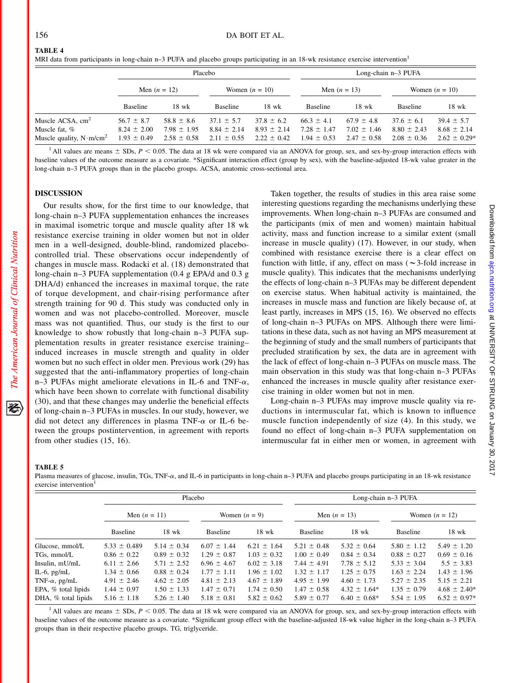## TABLE 4

|  |  | MRI data from participants in long-chain n-3 PUFA and placebo groups participating in an 18-wk resistance exercise intervention <sup>1</sup> |
|--|--|----------------------------------------------------------------------------------------------------------------------------------------------|
|--|--|----------------------------------------------------------------------------------------------------------------------------------------------|

|                                                   |                                    |                                    | Placebo                            |                                    | Long-chain n-3 PUFA                |                                    |                                    |                                     |  |
|---------------------------------------------------|------------------------------------|------------------------------------|------------------------------------|------------------------------------|------------------------------------|------------------------------------|------------------------------------|-------------------------------------|--|
|                                                   | Men $(n = 12)$                     |                                    | Women $(n = 10)$                   |                                    | Men $(n = 13)$                     |                                    | Women $(n = 10)$                   |                                     |  |
|                                                   | <b>Baseline</b>                    | 18 wk                              | <b>Baseline</b>                    | 18 wk                              | <b>Baseline</b>                    | $18 \text{ wk}$                    | <b>Baseline</b>                    | 18 wk                               |  |
| Muscle ACSA, $cm2$                                | $56.7 \pm 8.7$                     | $58.8 \pm 8.6$                     | $37.1 \pm 5.7$                     | $37.8 \pm 6.2$                     | $66.3 \pm 4.1$                     | $67.9 \pm 4.8$                     | $37.6 \pm 6.1$                     | $39.4 \pm 5.7$                      |  |
| Muscle fat, %<br>Muscle quality, $N \cdot m/cm^2$ | $8.24 \pm 2.00$<br>$1.93 \pm 0.49$ | $7.98 \pm 1.95$<br>$2.58 \pm 0.58$ | $8.84 \pm 2.14$<br>$2.11 \pm 0.55$ | $8.93 \pm 2.14$<br>$2.22 \pm 0.42$ | $7.28 \pm 1.47$<br>$1.94 \pm 0.53$ | $7.02 \pm 1.46$<br>$2.47 \pm 0.58$ | $8.80 \pm 2.43$<br>$2.08 \pm 0.36$ | $8.68 \pm 2.14$<br>$2.62 \pm 0.29*$ |  |

<sup>1</sup> All values are means  $\pm$  SDs,  $P < 0.05$ . The data at 18 wk were compared via an ANOVA for group, sex, and sex-by-group interaction effects with baseline values of the outcome measure as a covariate. \*Significant interaction effect (group by sex), with the baseline-adjusted 18-wk value greater in the long-chain n–3 PUFA groups than in the placebo groups. ACSA, anatomic cross-sectional area.

## DISCUSSION

Our results show, for the first time to our knowledge, that long-chain n–3 PUFA supplementation enhances the increases in maximal isometric torque and muscle quality after 18 wk resistance exercise training in older women but not in older men in a well-designed, double-blind, randomized placebocontrolled trial. These observations occur independently of changes in muscle mass. Rodacki et al. (18) demonstrated that long-chain n–3 PUFA supplementation (0.4 g EPA/d and 0.3 g DHA/d) enhanced the increases in maximal torque, the rate of torque development, and chair-rising performance after strength training for 90 d. This study was conducted only in women and was not placebo-controlled. Moreover, muscle mass was not quantified. Thus, our study is the first to our knowledge to show robustly that long-chain n–3 PUFA supplementation results in greater resistance exercise training– induced increases in muscle strength and quality in older women but no such effect in older men. Previous work (29) has suggested that the anti-inflammatory properties of long-chain n–3 PUFAs might ameliorate elevations in IL-6 and TNF- $\alpha$ , which have been shown to correlate with functional disability (30), and that these changes may underlie the beneficial effects of long-chain n–3 PUFAs in muscles. In our study, however, we did not detect any differences in plasma TNF- $\alpha$  or IL-6 between the groups postintervention, in agreement with reports from other studies (15, 16).

Taken together, the results of studies in this area raise some interesting questions regarding the mechanisms underlying these improvements. When long-chain n–3 PUFAs are consumed and the participants (mix of men and women) maintain habitual activity, mass and function increase to a similar extent (small increase in muscle quality) (17). However, in our study, when combined with resistance exercise there is a clear effect on function with little, if any, effect on mass ( $\sim$ 3-fold increase in muscle quality). This indicates that the mechanisms underlying the effects of long-chain n–3 PUFAs may be different dependent on exercise status. When habitual activity is maintained, the increases in muscle mass and function are likely because of, at least partly, increases in MPS (15, 16). We observed no effects of long-chain n–3 PUFAs on MPS. Although there were limitations in these data, such as not having an MPS measurement at the beginning of study and the small numbers of participants that precluded stratification by sex, the data are in agreement with the lack of effect of long-chain n–3 PUFAs on muscle mass. The main observation in this study was that long-chain n–3 PUFAs enhanced the increases in muscle quality after resistance exercise training in older women but not in men.

Long-chain n–3 PUFAs may improve muscle quality via reductions in intermuscular fat, which is known to influence muscle function independently of size (4). In this study, we found no effect of long-chain n–3 PUFA supplementation on intermuscular fat in either men or women, in agreement with

#### TABLE 5

The American Journal of Clinical Nutrition

犵

Plasma measures of glucose, insulin, TGs, TNF- $\alpha$ , and IL-6 in participants in long-chain n–3 PUFA and placebo groups participating in an 18-wk resistance exercise intervention<sup>1</sup>

|                       |                  | Placebo         |                 |                 | Long-chain n-3 PUFA |                   |                  |                  |  |
|-----------------------|------------------|-----------------|-----------------|-----------------|---------------------|-------------------|------------------|------------------|--|
|                       | Men $(n = 11)$   |                 | Women $(n = 9)$ |                 | Men $(n = 13)$      |                   | Women $(n = 12)$ |                  |  |
|                       | <b>Baseline</b>  | $18$ wk         | <b>Baseline</b> | $18$ wk         | <b>Baseline</b>     | $18$ wk           | <b>Baseline</b>  | $18$ wk          |  |
| Glucose, mmol/L       | $5.33 \pm 0.489$ | $5.14 \pm 0.34$ | $6.07 \pm 1.44$ | $6.21 \pm 1.64$ | $5.21 \pm 0.48$     | $5.32 \pm 0.64$   | $5.80 \pm 1.12$  | $5.49 \pm 1.20$  |  |
| TGs. mmol/L           | $0.86 \pm 0.22$  | $0.89 \pm 0.32$ | $1.29 \pm 0.87$ | $1.03 \pm 0.32$ | $1.00 \pm 0.49$     | $0.84 \pm 0.34$   | $0.88 \pm 0.27$  | $0.69 \pm 0.16$  |  |
| Insulin, mU/mL        | $6.11 \pm 2.66$  | $5.71 \pm 2.52$ | $6.96 \pm 4.67$ | $6.02 \pm 3.18$ | $7.44 \pm 4.91$     | $7.78 \pm 5.12$   | $5.33 \pm 3.04$  | $5.5 \pm 3.83$   |  |
| IL-6, $pg/mL$         | $1.34 \pm 0.66$  | $0.88 \pm 0.24$ | $1.77 \pm 1.11$ | $1.96 \pm 1.02$ | $1.32 \pm 1.17$     | $1.25 \pm 0.75$   | $1.63 \pm 2.24$  | $1.43 \pm 1.96$  |  |
| TNF- $\alpha$ , pg/mL | $4.91 \pm 2.46$  | $4.62 \pm 2.05$ | $4.81 \pm 2.13$ | $4.67 \pm 1.89$ | $4.95 \pm 1.99$     | $4.60 \pm 1.73$   | $5.27 \pm 2.35$  | $5.15 \pm 2.21$  |  |
| EPA, % total lipids   | $1.44 \pm 0.97$  | $1.50 \pm 1.33$ | $1.47 \pm 0.71$ | $1.74 \pm 0.50$ | $1.47 \pm 0.58$     | $4.32 \pm 1.64*$  | $1.35 \pm 0.79$  | $4.68 \pm 2.40*$ |  |
| DHA, $%$ total lipids | $5.16 \pm 1.18$  | $5.26 \pm 1.40$ | $5.18 \pm 0.81$ | $5.82 \pm 0.62$ | $5.89 \pm 0.77$     | $6.40 \pm 0.68^*$ | $5.54 \pm 1.95$  | $6.52 \pm 0.97*$ |  |

<sup>1</sup> All values are means  $\pm$  SDs,  $P < 0.05$ . The data at 18 wk were compared via an ANOVA for group, sex, and sex-by-group interaction effects with baseline values of the outcome measure as a covariate. \*Significant group effect with the baseline-adjusted 18-wk value higher in the long-chain n–3 PUFA groups than in their respective placebo groups. TG, triglyceride.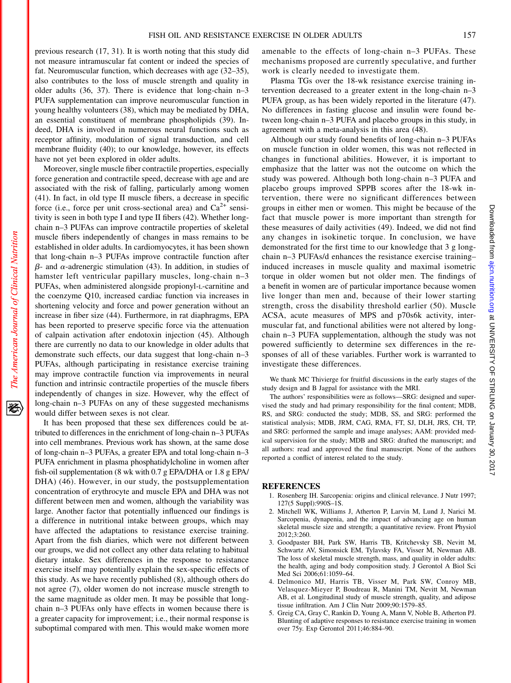previous research (17, 31). It is worth noting that this study did not measure intramuscular fat content or indeed the species of fat. Neuromuscular function, which decreases with age (32–35), also contributes to the loss of muscle strength and quality in older adults (36, 37). There is evidence that long-chain n–3 PUFA supplementation can improve neuromuscular function in young healthy volunteers (38), which may be mediated by DHA, an essential constituent of membrane phospholipids (39). Indeed, DHA is involved in numerous neural functions such as receptor affinity, modulation of signal transduction, and cell membrane fluidity (40); to our knowledge, however, its effects have not yet been explored in older adults.

Moreover, single muscle fiber contractile properties, especially force generation and contractile speed, decrease with age and are associated with the risk of falling, particularly among women (41). In fact, in old type II muscle fibers, a decrease in specific force (i.e., force per unit cross-sectional area) and  $Ca^{2+}$  sensitivity is seen in both type I and type II fibers (42). Whether longchain n–3 PUFAs can improve contractile properties of skeletal muscle fibers independently of changes in mass remains to be established in older adults. In cardiomyocytes, it has been shown that long-chain n–3 PUFAs improve contractile function after  $\beta$ - and  $\alpha$ -adrenergic stimulation (43). In addition, in studies of hamster left ventricular papillary muscles, long-chain n-3 PUFAs, when administered alongside propionyl-L-carnitine and the coenzyme Q10, increased cardiac function via increases in shortening velocity and force and power generation without an increase in fiber size (44). Furthermore, in rat diaphragms, EPA has been reported to preserve specific force via the attenuation of calpain activation after endotoxin injection (45). Although there are currently no data to our knowledge in older adults that demonstrate such effects, our data suggest that long-chain n–3 PUFAs, although participating in resistance exercise training may improve contractile function via improvements in neural function and intrinsic contractile properties of the muscle fibers independently of changes in size. However, why the effect of long-chain n–3 PUFAs on any of these suggested mechanisms would differ between sexes is not clear.

It has been proposed that these sex differences could be attributed to differences in the enrichment of long-chain n–3 PUFAs into cell membranes. Previous work has shown, at the same dose of long-chain n–3 PUFAs, a greater EPA and total long-chain n–3 PUFA enrichment in plasma phosphatidylcholine in women after fish-oil supplementation (8 wk with 0.7 g EPA/DHA or 1.8 g EPA/ DHA) (46). However, in our study, the postsupplementation concentration of erythrocyte and muscle EPA and DHA was not different between men and women, although the variability was large. Another factor that potentially influenced our findings is a difference in nutritional intake between groups, which may have affected the adaptations to resistance exercise training. Apart from the fish diaries, which were not different between our groups, we did not collect any other data relating to habitual dietary intake. Sex differences in the response to resistance exercise itself may potentially explain the sex-specific effects of this study. As we have recently published (8), although others do not agree (7), older women do not increase muscle strength to the same magnitude as older men. It may be possible that longchain n–3 PUFAs only have effects in women because there is a greater capacity for improvement; i.e., their normal response is suboptimal compared with men. This would make women more amenable to the effects of long-chain n–3 PUFAs. These mechanisms proposed are currently speculative, and further work is clearly needed to investigate them.

Plasma TGs over the 18-wk resistance exercise training intervention decreased to a greater extent in the long-chain n–3 PUFA group, as has been widely reported in the literature (47). No differences in fasting glucose and insulin were found between long-chain n–3 PUFA and placebo groups in this study, in agreement with a meta-analysis in this area (48).

Although our study found benefits of long-chain n–3 PUFAs on muscle function in older women, this was not reflected in changes in functional abilities. However, it is important to emphasize that the latter was not the outcome on which the study was powered. Although both long-chain n–3 PUFA and placebo groups improved SPPB scores after the 18-wk intervention, there were no significant differences between groups in either men or women. This might be because of the fact that muscle power is more important than strength for these measures of daily activities (49). Indeed, we did not find any changes in isokinetic torque. In conclusion, we have demonstrated for the first time to our knowledge that 3 g longchain n–3 PUFAs/d enhances the resistance exercise training– induced increases in muscle quality and maximal isometric torque in older women but not older men. The findings of a benefit in women are of particular importance because women live longer than men and, because of their lower starting strength, cross the disability threshold earlier (50). Muscle ACSA, acute measures of MPS and p70s6k activity, intermuscular fat, and functional abilities were not altered by longchain n–3 PUFA supplementation, although the study was not powered sufficiently to determine sex differences in the responses of all of these variables. Further work is warranted to investigate these differences.

We thank MC Thivierge for fruitful discussions in the early stages of the study design and B Jagpal for assistance with the MRI.

The authors' responsibilities were as follows—SRG: designed and supervised the study and had primary responsibility for the final content; MDB, RS, and SRG: conducted the study; MDB, SS, and SRG: performed the statistical analysis; MDB, JRM, CAG, RMA, FT, SJ, DLH, JRS, CH, TP, and SRG: performed the sample and image analyses; AAM: provided medical supervision for the study; MDB and SRG: drafted the manuscript; and all authors: read and approved the final manuscript. None of the authors reported a conflict of interest related to the study.

#### REFERENCES

- 1. Rosenberg IH. Sarcopenia: origins and clinical relevance. J Nutr 1997; 127(5 Suppl):990S–1S.
- 2. Mitchell WK, Williams J, Atherton P, Larvin M, Lund J, Narici M. Sarcopenia, dynapenia, and the impact of advancing age on human skeletal muscle size and strength; a quantitative review. Front Physiol 2012;3:260.
- 3. Goodpaster BH, Park SW, Harris TB, Kritchevsky SB, Nevitt M, Schwartz AV, Simonsick EM, Tylavsky FA, Visser M, Newman AB. The loss of skeletal muscle strength, mass, and quality in older adults: the health, aging and body composition study. J Gerontol A Biol Sci Med Sci 2006;61:1059–64.
- 4. Delmonico MJ, Harris TB, Visser M, Park SW, Conroy MB, Velasquez-Mieyer P, Boudreau R, Manini TM, Nevitt M, Newman AB, et al. Longitudinal study of muscle strength, quality, and adipose tissue infiltration. Am J Clin Nutr 2009;90:1579–85.
- 5. Greig CA, Gray C, Rankin D, Young A, Mann V, Noble B, Atherton PJ. Blunting of adaptive responses to resistance exercise training in women over 75y. Exp Gerontol 2011;46:884–90.

资